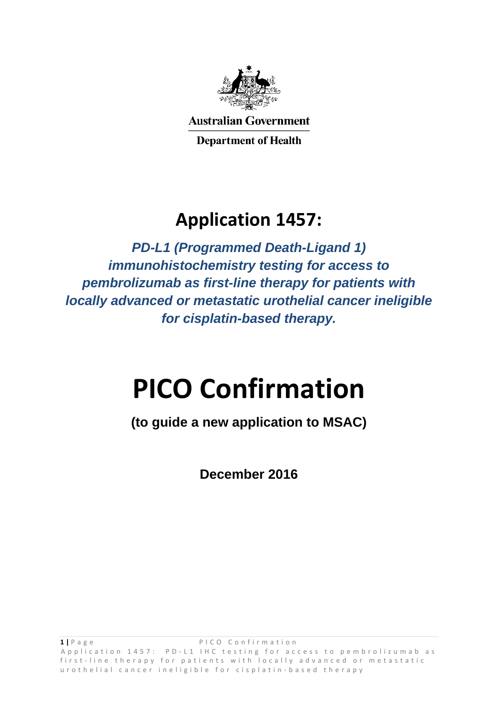

**Australian Government Department of Health** 

**Application 1457:**

*PD-L1 (Programmed Death-Ligand 1) immunohistochemistry testing for access to pembrolizumab as first-line therapy for patients with locally advanced or metastatic urothelial cancer ineligible for cisplatin-based therapy.*

# **PICO Confirmation**

**(to guide a new application to MSAC)** 

**December 2016**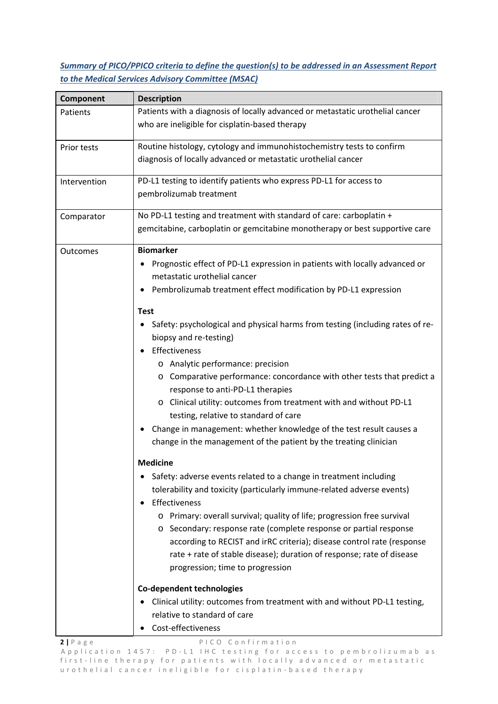*Summary of PICO/PPICO criteria to define the question(s) to be addressed in an Assessment Report to the Medical Services Advisory Committee (MSAC)*

| Component    | <b>Description</b>                                                                                                                                                                                                                                                                                                                                                                                                                                                                                                                                                    |
|--------------|-----------------------------------------------------------------------------------------------------------------------------------------------------------------------------------------------------------------------------------------------------------------------------------------------------------------------------------------------------------------------------------------------------------------------------------------------------------------------------------------------------------------------------------------------------------------------|
| Patients     | Patients with a diagnosis of locally advanced or metastatic urothelial cancer<br>who are ineligible for cisplatin-based therapy                                                                                                                                                                                                                                                                                                                                                                                                                                       |
| Prior tests  | Routine histology, cytology and immunohistochemistry tests to confirm<br>diagnosis of locally advanced or metastatic urothelial cancer                                                                                                                                                                                                                                                                                                                                                                                                                                |
| Intervention | PD-L1 testing to identify patients who express PD-L1 for access to<br>pembrolizumab treatment                                                                                                                                                                                                                                                                                                                                                                                                                                                                         |
| Comparator   | No PD-L1 testing and treatment with standard of care: carboplatin +<br>gemcitabine, carboplatin or gemcitabine monotherapy or best supportive care                                                                                                                                                                                                                                                                                                                                                                                                                    |
| Outcomes     | <b>Biomarker</b><br>Prognostic effect of PD-L1 expression in patients with locally advanced or<br>metastatic urothelial cancer<br>Pembrolizumab treatment effect modification by PD-L1 expression                                                                                                                                                                                                                                                                                                                                                                     |
|              | <b>Test</b><br>Safety: psychological and physical harms from testing (including rates of re-<br>biopsy and re-testing)<br>Effectiveness<br>$\bullet$<br>o Analytic performance: precision<br>Comparative performance: concordance with other tests that predict a<br>O<br>response to anti-PD-L1 therapies<br>o Clinical utility: outcomes from treatment with and without PD-L1<br>testing, relative to standard of care<br>Change in management: whether knowledge of the test result causes a<br>change in the management of the patient by the treating clinician |
|              | <b>Medicine</b><br>Safety: adverse events related to a change in treatment including<br>$\bullet$<br>tolerability and toxicity (particularly immune-related adverse events)<br>Effectiveness<br>Primary: overall survival; quality of life; progression free survival<br>O<br>o Secondary: response rate (complete response or partial response<br>according to RECIST and irRC criteria); disease control rate (response<br>rate + rate of stable disease); duration of response; rate of disease<br>progression; time to progression                                |
|              | Co-dependent technologies<br>Clinical utility: outcomes from treatment with and without PD-L1 testing,<br>relative to standard of care<br>Cost-effectiveness                                                                                                                                                                                                                                                                                                                                                                                                          |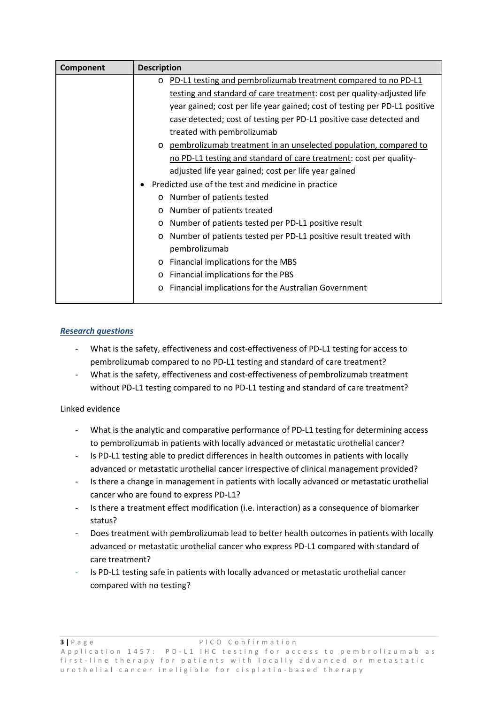| Component | <b>Description</b>                                                          |
|-----------|-----------------------------------------------------------------------------|
|           | PD-L1 testing and pembrolizumab treatment compared to no PD-L1<br>$\circ$   |
|           | testing and standard of care treatment: cost per quality-adjusted life      |
|           | year gained; cost per life year gained; cost of testing per PD-L1 positive  |
|           | case detected; cost of testing per PD-L1 positive case detected and         |
|           | treated with pembrolizumab                                                  |
|           | pembrolizumab treatment in an unselected population, compared to<br>$\circ$ |
|           | no PD-L1 testing and standard of care treatment: cost per quality-          |
|           | adjusted life year gained; cost per life year gained                        |
|           | Predicted use of the test and medicine in practice                          |
|           | Number of patients tested<br>$\circ$                                        |
|           | Number of patients treated<br>$\circ$                                       |
|           | Number of patients tested per PD-L1 positive result<br>$\circ$              |
|           | Number of patients tested per PD-L1 positive result treated with<br>$\circ$ |
|           | pembrolizumab                                                               |
|           | Financial implications for the MBS<br>$\circ$                               |
|           | Financial implications for the PBS<br>O                                     |
|           | Financial implications for the Australian Government<br>$\circ$             |
|           |                                                                             |

## *Research questions*

- What is the safety, effectiveness and cost-effectiveness of PD-L1 testing for access to pembrolizumab compared to no PD‐L1 testing and standard of care treatment?
- What is the safety, effectiveness and cost-effectiveness of pembrolizumab treatment without PD-L1 testing compared to no PD-L1 testing and standard of care treatment?

### Linked evidence

- What is the analytic and comparative performance of PD-L1 testing for determining access to pembrolizumab in patients with locally advanced or metastatic urothelial cancer?
- ‐ Is PD‐L1 testing able to predict differences in health outcomes in patients with locally advanced or metastatic urothelial cancer irrespective of clinical management provided?
- Is there a change in management in patients with locally advanced or metastatic urothelial cancer who are found to express PD‐L1?
- Is there a treatment effect modification (i.e. interaction) as a consequence of biomarker status?
- ‐ Does treatment with pembrolizumab lead to better health outcomes in patients with locally advanced or metastatic urothelial cancer who express PD‐L1 compared with standard of care treatment?
- ‐ Is PD‐L1 testing safe in patients with locally advanced or metastatic urothelial cancer compared with no testing?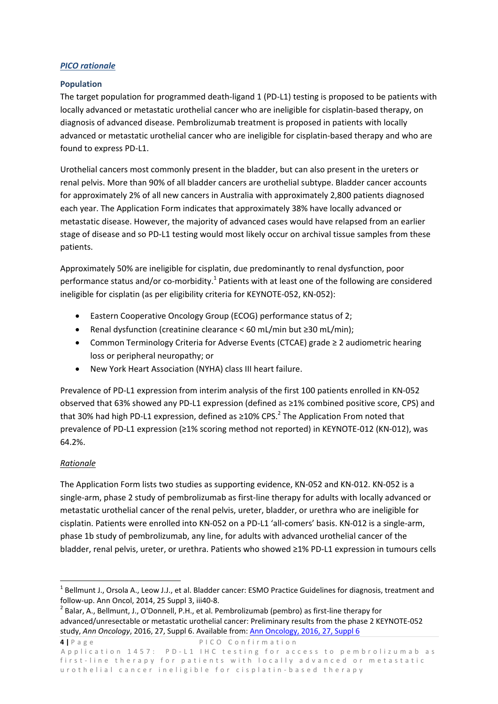#### *PICO rationale*

#### **Population**

The target population for programmed death‐ligand 1 (PD‐L1) testing is proposed to be patients with locally advanced or metastatic urothelial cancer who are ineligible for cisplatin‐based therapy, on diagnosis of advanced disease. Pembrolizumab treatment is proposed in patients with locally advanced or metastatic urothelial cancer who are ineligible for cisplatin‐based therapy and who are found to express PD‐L1.

Urothelial cancers most commonly present in the bladder, but can also present in the ureters or renal pelvis. More than 90% of all bladder cancers are urothelial subtype. Bladder cancer accounts for approximately 2% of all new cancers in Australia with approximately 2,800 patients diagnosed each year. The Application Form indicates that approximately 38% have locally advanced or metastatic disease. However, the majority of advanced cases would have relapsed from an earlier stage of disease and so PD‐L1 testing would most likely occur on archival tissue samples from these patients.

Approximately 50% are ineligible for cisplatin, due predominantly to renal dysfunction, poor performance status and/or co-morbidity.<sup>1</sup> Patients with at least one of the following are considered ineligible for cisplatin (as per eligibility criteria for KEYNOTE‐052, KN‐052):

- Eastern Cooperative Oncology Group (ECOG) performance status of 2;
- Renal dysfunction (creatinine clearance < 60 mL/min but ≥30 mL/min);
- Common Terminology Criteria for Adverse Events (CTCAE) grade ≥ 2 audiometric hearing loss or peripheral neuropathy; or
- New York Heart Association (NYHA) class III heart failure.

Prevalence of PD‐L1 expression from interim analysis of the first 100 patients enrolled in KN‐052 observed that 63% showed any PD‐L1 expression (defined as ≥1% combined positive score, CPS) and that 30% had high PD-L1 expression, defined as  $\geq$ 10% CPS.<sup>2</sup> The Application From noted that prevalence of PD‐L1 expression (≥1% scoring method not reported) in KEYNOTE‐012 (KN‐012), was 64.2%.

### *Rationale*

The Application Form lists two studies as supporting evidence, KN‐052 and KN‐012. KN‐052 is a single-arm, phase 2 study of pembrolizumab as first-line therapy for adults with locally advanced or metastatic urothelial cancer of the renal pelvis, ureter, bladder, or urethra who are ineligible for cisplatin. Patients were enrolled into KN‐052 on a PD‐L1 'all‐comers' basis. KN‐012 is a single‐arm, phase 1b study of pembrolizumab, any line, for adults with advanced urothelial cancer of the bladder, renal pelvis, ureter, or urethra. Patients who showed ≥1% PD‐L1 expression in tumours cells

 $1$  Bellmunt J., Orsola A., Leow J.J., et al. Bladder cancer: ESMO Practice Guidelines for diagnosis, treatment and follow-up. Ann Oncol, 2014, 25 Suppl 3, iii40-8.<br><sup>2</sup> Balar, A., Bellmunt, J., O'Donnell, P.H., et al. Pembrolizumab (pembro) as first-line therapy for

advanced/unresectable or metastatic urothelial cancer: Preliminary results from the phase 2 KEYNOTE‐052 study, *Ann Oncology*, 2016, 27, Suppl 6. Available from: Ann Oncology, 2016, 27, Suppl 6

**<sup>4</sup> |** Page PICO Confirmation Application 1457: PD-L1 IHC testing for access to pembrolizumab as first-line therapy for patients with locally advanced or metastatic urothelial cancer ineligible for cisplatin ‐ based therapy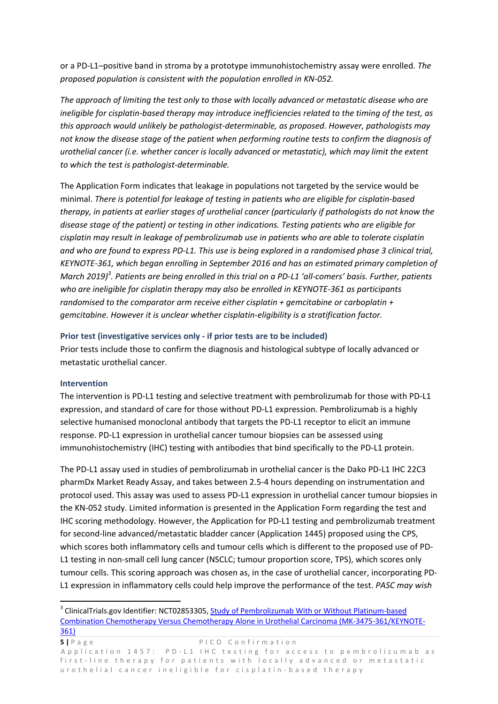or a PD‐L1–positive band in stroma by a prototype immunohistochemistry assay were enrolled. *The proposed population is consistent with the population enrolled in KN‐052.*

*The approach of limiting the test only to those with locally advanced or metastatic disease who are ineligible for cisplatin‐based therapy may introduce inefficiencies related to the timing of the test, as this approach would unlikely be pathologist‐determinable, as proposed. However, pathologists may not know the disease stage of the patient when performing routine tests to confirm the diagnosis of urothelial cancer (i.e. whether cancer is locally advanced or metastatic), which may limit the extent to which the test is pathologist‐determinable.*

The Application Form indicates that leakage in populations not targeted by the service would be minimal. *There is potential for leakage of testing in patients who are eligible for cisplatin‐based therapy, in patients at earlier stages of urothelial cancer (particularly if pathologists do not know the disease stage of the patient) or testing in other indications. Testing patients who are eligible for cisplatin may result in leakage of pembrolizumab use in patients who are able to tolerate cisplatin* and who are found to express PD-L1. This use is being explored in a randomised phase 3 clinical trial, *KEYNOTE‐361, which began enrolling in September 2016 and has an estimated primary completion of* March 2019)<sup>3</sup>. Patients are being enrolled in this trial on a PD-L1 'all-comers' basis. Further, patients *who are ineligible for cisplatin therapy may also be enrolled in KEYNOTE‐361 as participants randomised to the comparator arm receive either cisplatin + gemcitabine or carboplatin + gemcitabine. However it is unclear whether cisplatin‐eligibility is a stratification factor.*

#### **Prior test (investigative services only ‐ if prior tests are to be included)**

Prior tests include those to confirm the diagnosis and histological subtype of locally advanced or metastatic urothelial cancer.

#### **Intervention**

The intervention is PD‐L1 testing and selective treatment with pembrolizumab for those with PD‐L1 expression, and standard of care for those without PD-L1 expression. Pembrolizumab is a highly selective humanised monoclonal antibody that targets the PD-L1 receptor to elicit an immune response. PD‐L1 expression in urothelial cancer tumour biopsies can be assessed using immunohistochemistry (IHC) testing with antibodies that bind specifically to the PD‐L1 protein.

The PD‐L1 assay used in studies of pembrolizumab in urothelial cancer is the Dako PD‐L1 IHC 22C3 pharmDx Market Ready Assay, and takes between 2.5‐4 hours depending on instrumentation and protocol used. This assay was used to assess PD‐L1 expression in urothelial cancer tumour biopsies in the KN‐052 study. Limited information is presented in the Application Form regarding the test and IHC scoring methodology. However, the Application for PD‐L1 testing and pembrolizumab treatment for second-line advanced/metastatic bladder cancer (Application 1445) proposed using the CPS, which scores both inflammatory cells and tumour cells which is different to the proposed use of PD-L1 testing in non-small cell lung cancer (NSCLC; tumour proportion score, TPS), which scores only tumour cells. This scoring approach was chosen as, in the case of urothelial cancer, incorporating PD‐ L1 expression in inflammatory cells could help improve the performance of the test. *PASC may wish*

<sup>&</sup>lt;sup>3</sup> ClinicalTrials.gov Identifier: NCT02853305, Study of Pembrolizumab With or Without Platinum-based Combination Chemotherapy Versus Chemotherapy Alone in Urothelial Carcinoma (MK‐3475‐361/KEYNOTE‐ 361)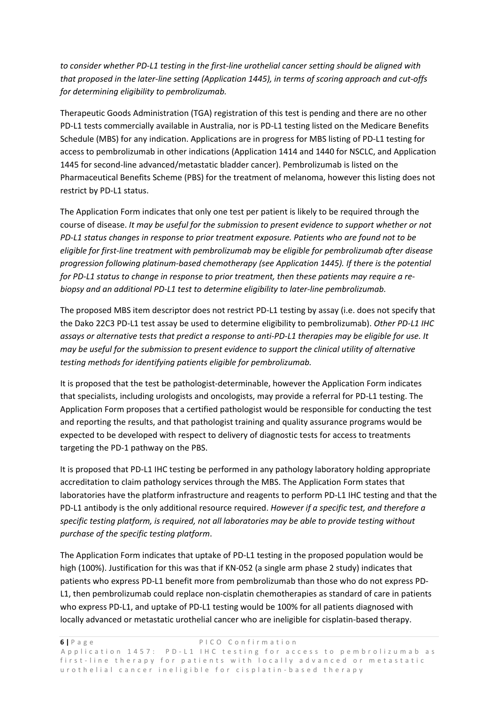to consider whether PD-L1 testing in the first-line urothelial cancer setting should be aligned with that proposed in the later-line setting (Application 1445), in terms of scoring approach and cut-offs *for determining eligibility to pembrolizumab.*

Therapeutic Goods Administration (TGA) registration of this test is pending and there are no other PD‐L1 tests commercially available in Australia, nor is PD‐L1 testing listed on the Medicare Benefits Schedule (MBS) for any indication. Applications are in progress for MBS listing of PD‐L1 testing for access to pembrolizumab in other indications (Application 1414 and 1440 for NSCLC, and Application 1445 for second‐line advanced/metastatic bladder cancer). Pembrolizumab is listed on the Pharmaceutical Benefits Scheme (PBS) for the treatment of melanoma, however this listing does not restrict by PD‐L1 status.

The Application Form indicates that only one test per patient is likely to be required through the course of disease. *It may be useful for the submission to present evidence to support whether or not PD‐L1 status changes in response to prior treatment exposure. Patients who are found not to be eligible for first‐line treatment with pembrolizumab may be eligible for pembrolizumab after disease progression following platinum‐based chemotherapy (see Application 1445). If there is the potential* for PD-L1 status to change in response to prior treatment, then these patients may require a re*biopsy and an additional PD‐L1 test to determine eligibility to later‐line pembrolizumab.*

The proposed MBS item descriptor does not restrict PD-L1 testing by assay (i.e. does not specify that the Dako 22C3 PD‐L1 test assay be used to determine eligibility to pembrolizumab). *Other PD‐L1 IHC* assays or alternative tests that predict a response to anti-PD-L1 therapies may be eligible for use. It *may be useful for the submission to present evidence to support the clinical utility of alternative testing methods for identifying patients eligible for pembrolizumab.*

It is proposed that the test be pathologist-determinable, however the Application Form indicates that specialists, including urologists and oncologists, may provide a referral for PD‐L1 testing. The Application Form proposes that a certified pathologist would be responsible for conducting the test and reporting the results, and that pathologist training and quality assurance programs would be expected to be developed with respect to delivery of diagnostic tests for access to treatments targeting the PD‐1 pathway on the PBS.

It is proposed that PD‐L1 IHC testing be performed in any pathology laboratory holding appropriate accreditation to claim pathology services through the MBS. The Application Form states that laboratories have the platform infrastructure and reagents to perform PD‐L1 IHC testing and that the PD‐L1 antibody is the only additional resource required. *However if a specific test, and therefore a specific testing platform, is required, not all laboratories may be able to provide testing without purchase of the specific testing platform*.

The Application Form indicates that uptake of PD‐L1 testing in the proposed population would be high (100%). Justification for this was that if KN-052 (a single arm phase 2 study) indicates that patients who express PD‐L1 benefit more from pembrolizumab than those who do not express PD‐ L1, then pembrolizumab could replace non‐cisplatin chemotherapies as standard of care in patients who express PD-L1, and uptake of PD-L1 testing would be 100% for all patients diagnosed with locally advanced or metastatic urothelial cancer who are ineligible for cisplatin‐based therapy.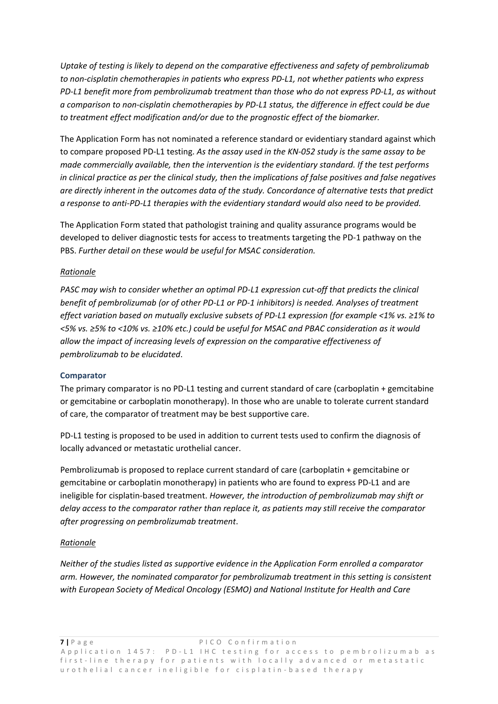*Uptake of testing is likely to depend on the comparative effectiveness and safety of pembrolizumab to non‐cisplatin chemotherapies in patients who express PD‐L1, not whether patients who express* PD-L1 benefit more from pembrolizumab treatment than those who do not express PD-L1, as without a comparison to non-cisplatin chemotherapies by PD-L1 status, the difference in effect could be due *to treatment effect modification and/or due to the prognostic effect of the biomarker.*

The Application Form has not nominated a reference standard or evidentiary standard against which to compare proposed PD‐L1 testing. *As the assay used in the KN‐052 study is the same assay to be made commercially available, then the intervention is the evidentiary standard. If the test performs* in clinical practice as per the clinical study, then the implications of false positives and false negatives *are directly inherent in the outcomes data of the study. Concordance of alternative tests that predict* a response to anti-PD-L1 therapies with the evidentiary standard would also need to be provided.

The Application Form stated that pathologist training and quality assurance programs would be developed to deliver diagnostic tests for access to treatments targeting the PD‐1 pathway on the PBS. *Further detail on these would be useful for MSAC consideration.*

### *Rationale*

PASC may wish to consider whether an optimal PD-L1 expression cut-off that predicts the clinical benefit of pembrolizumab (or of other PD-L1 or PD-1 inhibitors) is needed. Analyses of treatment effect variation based on mutually exclusive subsets of PD-L1 expression (for example <1% vs. ≥1% to <5% vs. ≥5% to <10% vs. ≥10% etc.) could be useful for MSAC and PBAC consideration as it would *allow the impact of increasing levels of expression on the comparative effectiveness of pembrolizumab to be elucidated*.

#### **Comparator**

The primary comparator is no PD-L1 testing and current standard of care (carboplatin + gemcitabine or gemcitabine or carboplatin monotherapy). In those who are unable to tolerate current standard of care, the comparator of treatment may be best supportive care.

PD-L1 testing is proposed to be used in addition to current tests used to confirm the diagnosis of locally advanced or metastatic urothelial cancer.

Pembrolizumab is proposed to replace current standard of care (carboplatin + gemcitabine or gemcitabine or carboplatin monotherapy) in patients who are found to express PD‐L1 and are ineligible for cisplatin‐based treatment. *However, the introduction of pembrolizumab may shift or delay access to the comparator rather than replace it, as patients may still receive the comparator after progressing on pembrolizumab treatment*.

#### *Rationale*

*Neither of the studies listed as supportive evidence in the Application Form enrolled a comparator arm. However, the nominated comparator for pembrolizumab treatment in this setting is consistent with European Society of Medical Oncology (ESMO) and National Institute for Health and Care*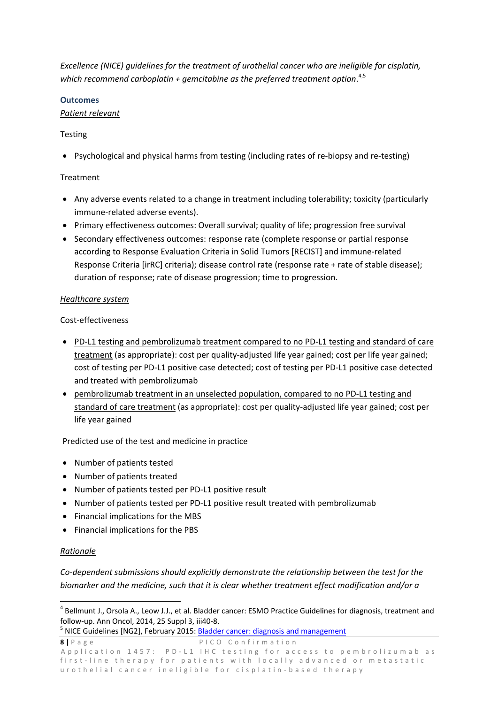*Excellence (NICE) guidelines for the treatment of urothelial cancer who are ineligible for cisplatin, which recommend carboplatin + gemcitabine as the preferred treatment option*. 4,5

#### **Outcomes**

#### *Patient relevant*

### **Testing**

● Psychological and physical harms from testing (including rates of re-biopsy and re-testing)

#### Treatment

- Any adverse events related to a change in treatment including tolerability; toxicity (particularly immune‐related adverse events).
- Primary effectiveness outcomes: Overall survival; quality of life; progression free survival
- Secondary effectiveness outcomes: response rate (complete response or partial response according to Response Evaluation Criteria in Solid Tumors [RECIST] and immune‐related Response Criteria [irRC] criteria); disease control rate (response rate + rate of stable disease); duration of response; rate of disease progression; time to progression.

#### *Healthcare system*

Cost‐effectiveness

- PD-L1 testing and pembrolizumab treatment compared to no PD-L1 testing and standard of care treatment (as appropriate): cost per quality-adjusted life year gained; cost per life year gained; cost of testing per PD‐L1 positive case detected; cost of testing per PD‐L1 positive case detected and treated with pembrolizumab
- pembrolizumab treatment in an unselected population, compared to no PD-L1 testing and standard of care treatment (as appropriate): cost per quality‐adjusted life year gained; cost per life year gained

Predicted use of the test and medicine in practice

- Number of patients tested
- Number of patients treated
- Number of patients tested per PD‐L1 positive result
- Number of patients tested per PD-L1 positive result treated with pembrolizumab
- Financial implications for the MBS
- Financial implications for the PBS

### *Rationale*

*Co‐dependent submissions should explicitly demonstrate the relationship between the test for the biomarker and the medicine, such that it is clear whether treatment effect modification and/or a*

<sup>&</sup>lt;sup>4</sup> Bellmunt J., Orsola A., Leow J.J., et al. Bladder cancer: ESMO Practice Guidelines for diagnosis, treatment and follow-up. Ann Oncol, 2014, 25 Suppl 3, iii40-8.<br><sup>5</sup> NICE Guidelines [NG2], February 2015: Bladder cancer: diagnosis and management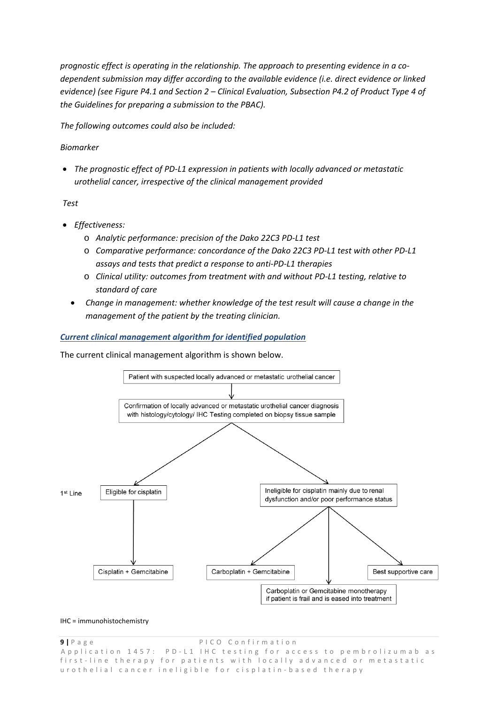*prognostic effect is operating in the relationship. The approach to presenting evidence in a co‐ dependent submission may differ according to the available evidence (i.e. direct evidence or linked evidence) (see Figure P4.1 and Section 2 – Clinical Evaluation, Subsection P4.2 of Product Type 4 of the Guidelines for preparing a submission to the PBAC).*

*The following outcomes could also be included:*

*Biomarker*

 *The prognostic effect of PD‐L1 expression in patients with locally advanced or metastatic urothelial cancer, irrespective of the clinical management provided*

*Test*

- *Effectiveness:*
	- o *Analytic performance: precision of the Dako 22C3 PD‐L1 test*
	- o *Comparative performance: concordance of the Dako 22C3 PD‐L1 test with other PD‐L1 assays and tests that predict a response to anti‐PD‐L1 therapies*
	- o *Clinical utility: outcomes from treatment with and without PD‐L1 testing, relative to standard of care*
	- *Change in management: whether knowledge of the test result will cause a change in the management of the patient by the treating clinician.*

### *Current clinical management algorithm for identified population*

The current clinical management algorithm is shown below.



#### IHC = immunohistochemistry

**9 |** Page PICO Confirmation Application 1457: PD-L1 IHC testing for access to pembrolizumab as first-line therapy for patients with locally advanced or metastatic urothelial cancer ineligible for cisplatin ‐ based therapy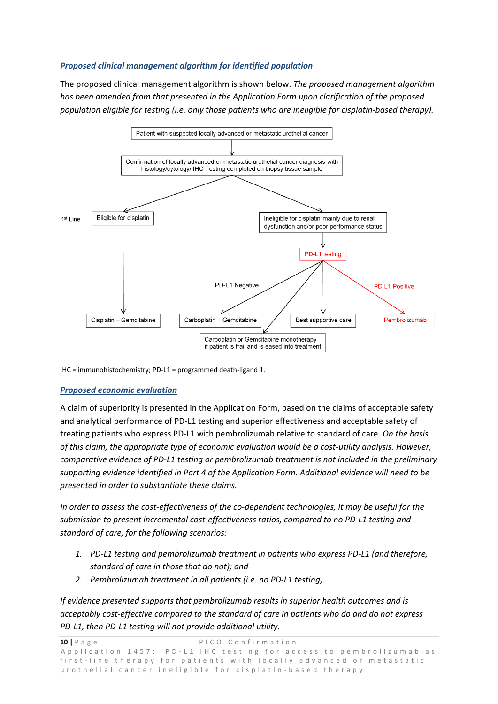### *Proposed clinical management algorithm for identified population*

The proposed clinical management algorithm is shown below. *The proposed management algorithm has been amended from that presented in the Application Form upon clarification of the proposed population eligible for testing (i.e. only those patients who are ineligible for cisplatin‐based therapy).*



IHC = immunohistochemistry; PD‐L1 = programmed death‐ligand 1.

# *Proposed economic evaluation*

A claim of superiority is presented in the Application Form, based on the claims of acceptable safety and analytical performance of PD‐L1 testing and superior effectiveness and acceptable safety of treating patients who express PD‐L1 with pembrolizumab relative to standard of care. *On the basis of this claim, the appropriate type of economic evaluation would be a cost‐utility analysis. However, comparative evidence of PD‐L1 testing or pembrolizumab treatment is not included in the preliminary supporting evidence identified in Part 4 of the Application Form. Additional evidence will need to be presented in order to substantiate these claims.*

In order to assess the cost-effectiveness of the co-dependent technologies, it may be useful for the *submission to present incremental cost‐effectiveness ratios, compared to no PD‐L1 testing and standard of care, for the following scenarios:*

- *1. PD‐L1 testing and pembrolizumab treatment in patients who express PD‐L1 (and therefore, standard of care in those that do not); and*
- *2. Pembrolizumab treatment in all patients (i.e. no PD‐L1 testing).*

*If evidence presented supports that pembrolizumab results in superior health outcomes and is acceptably cost‐effective compared to the standard of care in patients who do and do not express PD‐L1, then PD‐L1 testing will not provide additional utility.*